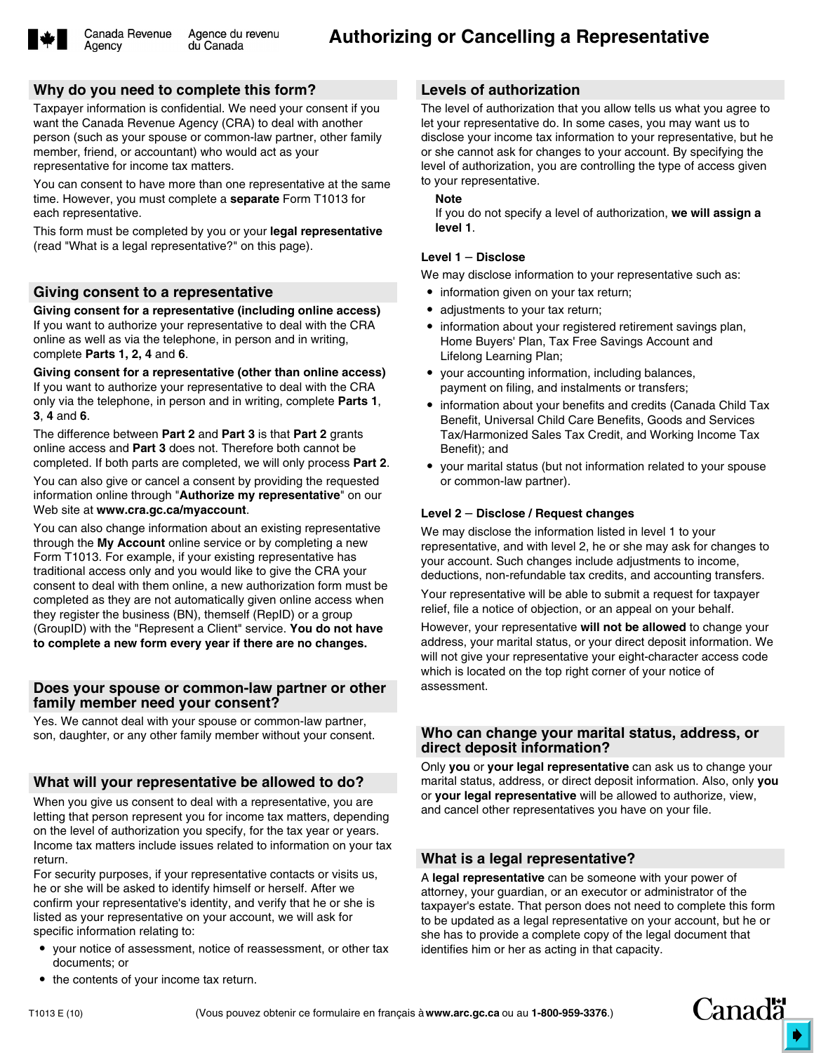

Agency

### **Why do you need to complete this form?**

Taxpayer information is confidential. We need your consent if you want the Canada Revenue Agency (CRA) to deal with another person (such as your spouse or common-law partner, other family member, friend, or accountant) who would act as your representative for income tax matters.

You can consent to have more than one representative at the same time. However, you must complete a **separate** Form T1013 for each representative.

This form must be completed by you or your **legal representative** (read "What is a legal representative?" on this page).

#### **Giving consent to a representative**

**Giving consent for a representative (including online access)** If you want to authorize your representative to deal with the CRA online as well as via the telephone, in person and in writing, complete **Parts 1, 2, 4** and **6**.

**Giving consent for a representative (other than online access)** If you want to authorize your representative to deal with the CRA only via the telephone, in person and in writing, complete **Parts 1**, **3**, **4** and **6**.

The difference between **Part 2** and **Part 3** is that **Part 2** grants online access and **Part 3** does not. Therefore both cannot be completed. If both parts are completed, we will only process **Part 2**.

You can also give or cancel a consent by providing the requested information online through "**Authorize my representative**" on our Web site at **www.cra.gc.ca/myaccount**.

You can also change information about an existing representative through the **My Account** online service or by completing a new Form T1013. For example, if your existing representative has traditional access only and you would like to give the CRA your consent to deal with them online, a new authorization form must be completed as they are not automatically given online access when they register the business (BN), themself (RepID) or a group (GroupID) with the "Represent a Client" service. **You do not have to complete a new form every year if there are no changes.**

#### **Does your spouse or common-law partner or other family member need your consent?**

Yes. We cannot deal with your spouse or common-law partner, son, daughter, or any other family member without your consent.

# **What will your representative be allowed to do?**

When you give us consent to deal with a representative, you are letting that person represent you for income tax matters, depending on the level of authorization you specify, for the tax year or years. Income tax matters include issues related to information on your tax return.

For security purposes, if your representative contacts or visits us, he or she will be asked to identify himself or herself. After we confirm your representative's identity, and verify that he or she is listed as your representative on your account, we will ask for specific information relating to:

 your notice of assessment, notice of reassessment, or other tax documents; or

## **Levels of authorization**

The level of authorization that you allow tells us what you agree to let your representative do. In some cases, you may want us to disclose your income tax information to your representative, but he or she cannot ask for changes to your account. By specifying the level of authorization, you are controlling the type of access given to your representative.

#### **Note**

If you do not specify a level of authorization, **we will assign a level 1**.

#### **Level 1** – **Disclose**

We may disclose information to your representative such as:

- information given on your tax return;
- adjustments to your tax return;
- information about your registered retirement savings plan, Home Buyers' Plan, Tax Free Savings Account and Lifelong Learning Plan;
- your accounting information, including balances, payment on filing, and instalments or transfers;
- information about your benefits and credits (Canada Child Tax Benefit, Universal Child Care Benefits, Goods and Services Tax/Harmonized Sales Tax Credit, and Working Income Tax Benefit); and
- your marital status (but not information related to your spouse or common-law partner).

#### **Level 2** – **Disclose / Request changes**

We may disclose the information listed in level 1 to your representative, and with level 2, he or she may ask for changes to your account. Such changes include adjustments to income, deductions, non-refundable tax credits, and accounting transfers.

Your representative will be able to submit a request for taxpayer relief, file a notice of objection, or an appeal on your behalf.

However, your representative **will not be allowed** to change your address, your marital status, or your direct deposit information. We will not give your representative your eight-character access code which is located on the top right corner of your notice of assessment.

#### **Who can change your marital status, address, or direct deposit information?**

Only **you** or **your legal representative** can ask us to change your marital status, address, or direct deposit information. Also, only **you** or **your legal representative** will be allowed to authorize, view, and cancel other representatives you have on your file.

#### **What is a legal representative?**

A **legal representative** can be someone with your power of attorney, your guardian, or an executor or administrator of the taxpayer's estate. That person does not need to complete this form to be updated as a legal representative on your account, but he or she has to provide a complete copy of the legal document that identifies him or her as acting in that capacity.

• the contents of your income tax return.

*Canadä*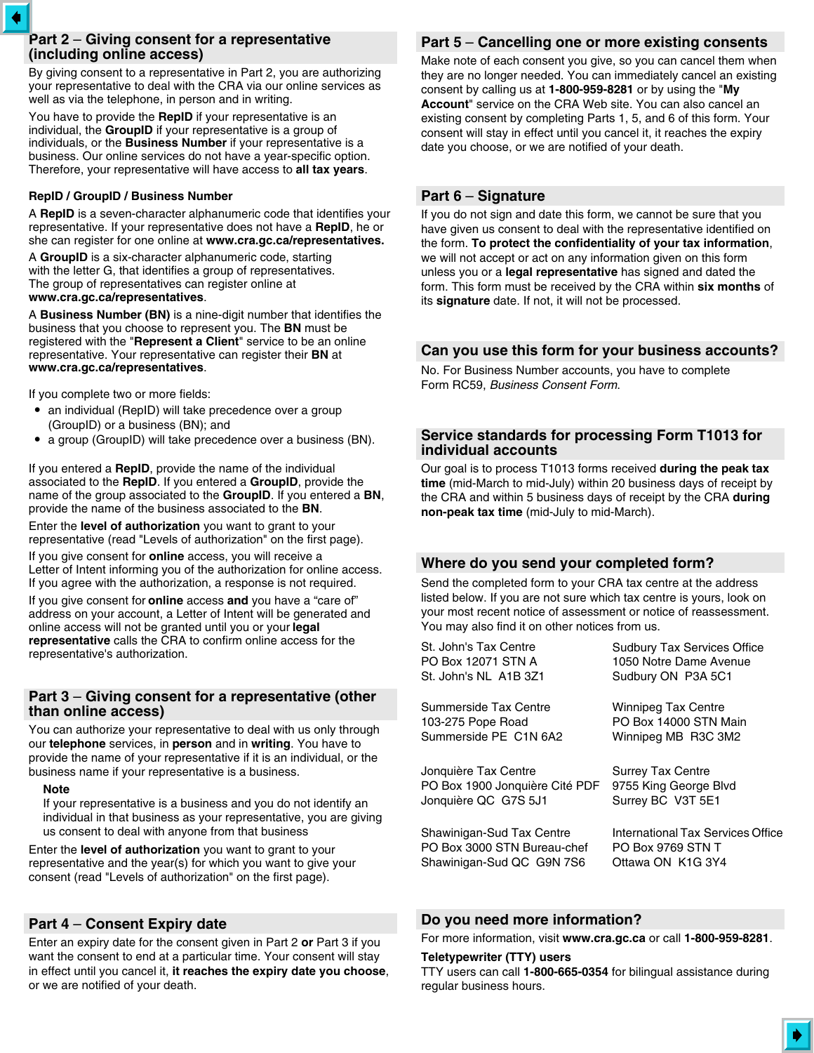## **Part 2** – **Giving consent for a representative (including online access)**

By giving consent to a representative in Part 2, you are authorizing your representative to deal with the CRA via our online services as well as via the telephone, in person and in writing.

You have to provide the **RepID** if your representative is an individual, the **GroupID** if your representative is a group of individuals, or the **Business Number** if your representative is a business. Our online services do not have a year-specific option. Therefore, your representative will have access to **all tax years**.

#### **RepID / GroupID / Business Number**

A **RepID** is a seven-character alphanumeric code that identifies your representative. If your representative does not have a **RepID**, he or she can register for one online at **www.cra.gc.ca/representatives.**

A **GroupID** is a six-character alphanumeric code, starting with the letter G, that identifies a group of representatives. The group of representatives can register online at **www.cra.gc.ca/representatives**.

A **Business Number (BN)** is a nine-digit number that identifies the business that you choose to represent you. The **BN** must be registered with the "**Represent a Client**" service to be an online representative. Your representative can register their **BN** at **www.cra.gc.ca/representatives**.

If you complete two or more fields:

- an individual (RepID) will take precedence over a group (GroupID) or a business (BN); and
- a group (GroupID) will take precedence over a business (BN).

If you entered a **RepID**, provide the name of the individual associated to the **RepID**. If you entered a **GroupID**, provide the name of the group associated to the **GroupID**. If you entered a **BN**, provide the name of the business associated to the **BN**.

Enter the **level of authorization** you want to grant to your representative (read "Levels of authorization" on the first page).

If you give consent for **online** access, you will receive a Letter of Intent informing you of the authorization for online access. If you agree with the authorization, a response is not required.

If you give consent for **online** access **and** you have a "care of" address on your account, a Letter of Intent will be generated and online access will not be granted until you or your **legal representative** calls the CRA to confirm online access for the representative's authorization.

### **Part 3** – **Giving consent for a representative (other than online access)**

You can authorize your representative to deal with us only through our **telephone** services, in **person** and in **writing**. You have to provide the name of your representative if it is an individual, or the business name if your representative is a business.

#### **Note**

If your representative is a business and you do not identify an individual in that business as your representative, you are giving us consent to deal with anyone from that business

Enter the **level of authorization** you want to grant to your representative and the year(s) for which you want to give your consent (read "Levels of authorization" on the first page).

## **Part 4** – **Consent Expiry date**

Enter an expiry date for the consent given in Part 2 **or** Part 3 if you want the consent to end at a particular time. Your consent will stay in effect until you cancel it, **it reaches the expiry date you choose**, or we are notified of your death.

# **Part 5** – **Cancelling one or more existing consents**

Make note of each consent you give, so you can cancel them when they are no longer needed. You can immediately cancel an existing consent by calling us at **1-800-959-8281** or by using the "**My Account**" service on the CRA Web site. You can also cancel an existing consent by completing Parts 1, 5, and 6 of this form. Your consent will stay in effect until you cancel it, it reaches the expiry date you choose, or we are notified of your death.

## **Part 6** – **Signature**

If you do not sign and date this form, we cannot be sure that you have given us consent to deal with the representative identified on the form. **To protect the confidentiality of your tax information**, we will not accept or act on any information given on this form unless you or a **legal representative** has signed and dated the form. This form must be received by the CRA within **six months** of its **signature** date. If not, it will not be processed.

## **Can you use this form for your business accounts?**

No. For Business Number accounts, you have to complete Form RC59, *Business Consent Form*.

### **Service standards for processing Form T1013 for individual accounts**

Our goal is to process T1013 forms received **during the peak tax time** (mid-March to mid-July) within 20 business days of receipt by the CRA and within 5 business days of receipt by the CRA **during non-peak tax time** (mid-July to mid-March).

## **Where do you send your completed form?**

Send the completed form to your CRA tax centre at the address listed below. If you are not sure which tax centre is yours, look on your most recent notice of assessment or notice of reassessment. You may also find it on other notices from us.

| St. John's Tax Centre          | <b>Sudbury Tax Services Office</b> |
|--------------------------------|------------------------------------|
| PO Box 12071 STN A             | 1050 Notre Dame Avenue             |
| St. John's NL  A1B 3Z1         | Sudbury ON P3A 5C1                 |
| Summerside Tax Centre          | <b>Winnipeg Tax Centre</b>         |
| 103-275 Pope Road              | PO Box 14000 STN Main              |
| Summerside PE C1N 6A2          | Winnipeg MB R3C 3M2                |
| Jonquière Tax Centre           | <b>Surrey Tax Centre</b>           |
| PO Box 1900 Jonquière Cité PDF | 9755 King George Blvd              |
| Jonquière QC G7S 5J1           | Surrey BC V3T 5E1                  |
| Shawinigan-Sud Tax Centre      | International Tax Services Office  |
| PO Box 3000 STN Bureau-chef    | PO Box 9769 STN T                  |
| Shawinigan-Sud QC G9N 7S6      | Ottawa ON K1G 3Y4                  |

## **Do you need more information?**

For more information, visit **www.cra.gc.ca** or call **1-800-959-8281**.

#### **Teletypewriter (TTY) users**

TTY users can call **1-800-665-0354** for bilingual assistance during regular business hours.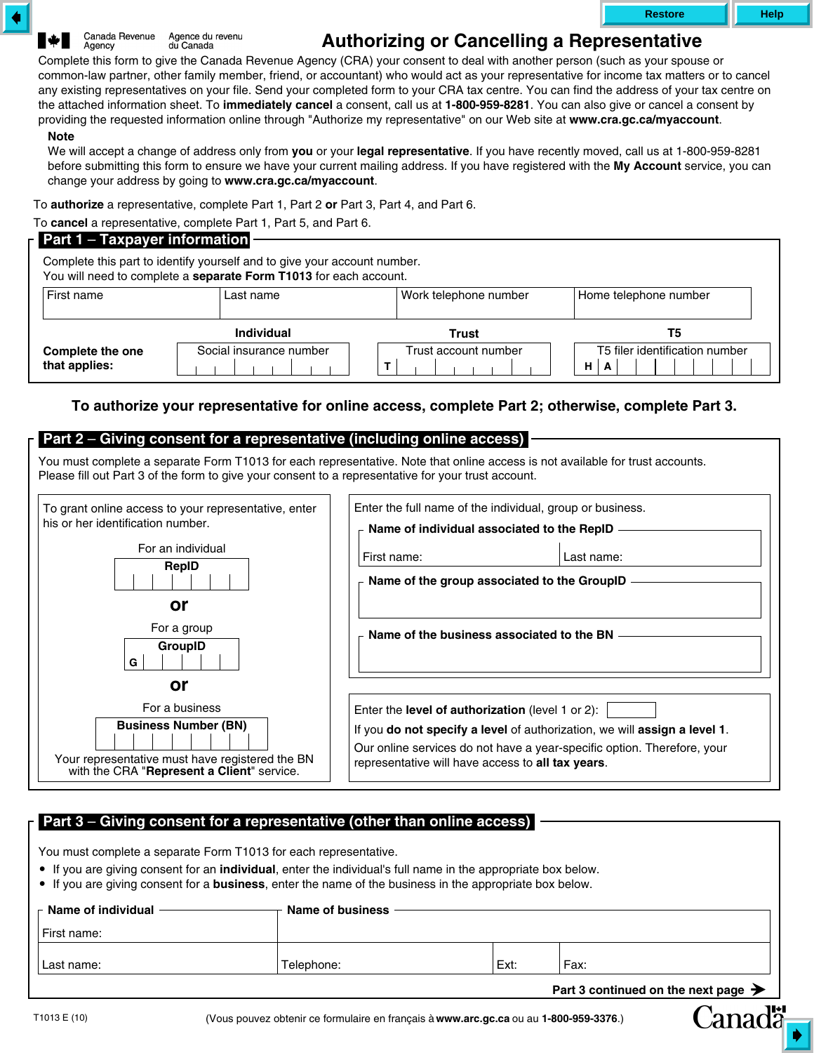Canada Revenue Agence du revenu Agency du Canada

# **Authorizing or Cancelling a Representative**

Complete this form to give the Canada Revenue Agency (CRA) your consent to deal with another person (such as your spouse or common-law partner, other family member, friend, or accountant) who would act as your representative for income tax matters or to cancel any existing representatives on your file. Send your completed form to your CRA tax centre. You can find the address of your tax centre on the attached information sheet. To **immediately cancel** a consent, call us at **1-800-959-8281**. You can also give or cancel a consent by providing the requested information online through "Authorize my representative" on our Web site at **www.cra.gc.ca/myaccount**. **Note**

We will accept a change of address only from **you** or your **legal representative**. If you have recently moved, call us at 1-800-959-8281 before submitting this form to ensure we have your current mailing address. If you have registered with the **My Account** service, you can change your address by going to **www.cra.gc.ca/myaccount**.

To **authorize** a representative, complete Part 1, Part 2 **or** Part 3, Part 4, and Part 6.

To **cancel** a representative, complete Part 1, Part 5, and Part 6.

| <b>Part 1 – Taxpayer information</b>                                                                                                          |                         |                       |                                          |  |  |
|-----------------------------------------------------------------------------------------------------------------------------------------------|-------------------------|-----------------------|------------------------------------------|--|--|
| Complete this part to identify yourself and to give your account number.<br>You will need to complete a separate Form T1013 for each account. |                         |                       |                                          |  |  |
| First name                                                                                                                                    | Last name               | Work telephone number | Home telephone number                    |  |  |
|                                                                                                                                               | <b>Individual</b>       | Trust                 | T5                                       |  |  |
| <b>Complete the one</b><br>that applies:                                                                                                      | Social insurance number | Trust account number  | T5 filer identification number<br>н<br>A |  |  |

## **To authorize your representative for online access, complete Part 2; otherwise, complete Part 3.**

## **Part 2** – **Giving consent for a representative (including online access)**

You must complete a separate Form T1013 for each representative. Note that online access is not available for trust accounts. Please fill out Part 3 of the form to give your consent to a representative for your trust account.

| To grant online access to your representative, enter<br>his or her identification number.                                    | Enter the full name of the individual, group or business.<br>Name of individual associated to the RepID                                                                                                   |
|------------------------------------------------------------------------------------------------------------------------------|-----------------------------------------------------------------------------------------------------------------------------------------------------------------------------------------------------------|
| For an individual<br>RepID                                                                                                   | First name:<br>Last name:<br>Name of the group associated to the GroupID                                                                                                                                  |
| or<br>For a group<br><b>GroupID</b><br>G                                                                                     | Name of the business associated to the BN                                                                                                                                                                 |
| or                                                                                                                           |                                                                                                                                                                                                           |
| For a business                                                                                                               | Enter the <b>level of authorization</b> (level 1 or 2):                                                                                                                                                   |
| <b>Business Number (BN)</b><br>Your representative must have registered the BN<br>with the CRA "Represent a Client" service. | If you do not specify a level of authorization, we will assign a level 1.<br>Our online services do not have a year-specific option. Therefore, your<br>representative will have access to all tax years. |

## **Part 3** – **Giving consent for a representative (other than online access)**

You must complete a separate Form T1013 for each representative.

- If you are giving consent for an **individual**, enter the individual's full name in the appropriate box below.
- If you are giving consent for a **business**, enter the name of the business in the appropriate box below.

| $\vdash$ Name of individual | Name of business |      |                                                 |
|-----------------------------|------------------|------|-------------------------------------------------|
| l First name:               |                  |      |                                                 |
| Last name:                  | Telephone:       | Ext: | Fax:                                            |
|                             |                  |      | Part 3 continued on the next page $\rightarrow$ |

Canadä